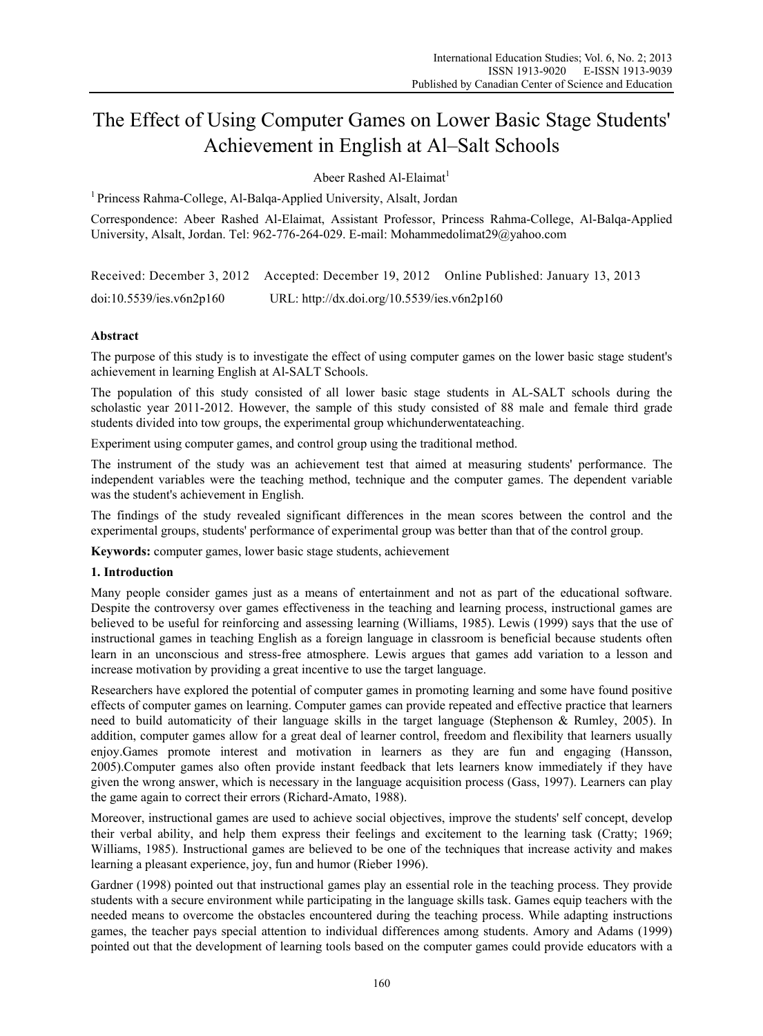# The Effect of Using Computer Games on Lower Basic Stage Students' Achievement in English at Al–Salt Schools

Abeer Rashed Al-Elaimat<sup>1</sup>

1 Princess Rahma-College, Al-Balqa-Applied University, Alsalt, Jordan

Correspondence: Abeer Rashed Al-Elaimat, Assistant Professor, Princess Rahma-College, Al-Balqa-Applied University, Alsalt, Jordan. Tel: 962-776-264-029. E-mail: Mohammedolimat29@yahoo.com

Received: December 3, 2012 Accepted: December 19, 2012 Online Published: January 13, 2013 doi:10.5539/ies.v6n2p160 URL: http://dx.doi.org/10.5539/ies.v6n2p160

## **Abstract**

The purpose of this study is to investigate the effect of using computer games on the lower basic stage student's achievement in learning English at Al-SALT Schools.

The population of this study consisted of all lower basic stage students in AL-SALT schools during the scholastic year 2011-2012. However, the sample of this study consisted of 88 male and female third grade students divided into tow groups, the experimental group whichunderwentateaching.

Experiment using computer games, and control group using the traditional method.

The instrument of the study was an achievement test that aimed at measuring students' performance. The independent variables were the teaching method, technique and the computer games. The dependent variable was the student's achievement in English.

The findings of the study revealed significant differences in the mean scores between the control and the experimental groups, students' performance of experimental group was better than that of the control group.

**Keywords:** computer games, lower basic stage students, achievement

#### **1. Introduction**

Many people consider games just as a means of entertainment and not as part of the educational software. Despite the controversy over games effectiveness in the teaching and learning process, instructional games are believed to be useful for reinforcing and assessing learning (Williams, 1985). Lewis (1999) says that the use of instructional games in teaching English as a foreign language in classroom is beneficial because students often learn in an unconscious and stress-free atmosphere. Lewis argues that games add variation to a lesson and increase motivation by providing a great incentive to use the target language.

Researchers have explored the potential of computer games in promoting learning and some have found positive effects of computer games on learning. Computer games can provide repeated and effective practice that learners need to build automaticity of their language skills in the target language (Stephenson & Rumley, 2005). In addition, computer games allow for a great deal of learner control, freedom and flexibility that learners usually enjoy.Games promote interest and motivation in learners as they are fun and engaging (Hansson, 2005).Computer games also often provide instant feedback that lets learners know immediately if they have given the wrong answer, which is necessary in the language acquisition process (Gass, 1997). Learners can play the game again to correct their errors (Richard-Amato, 1988).

Moreover, instructional games are used to achieve social objectives, improve the students' self concept, develop their verbal ability, and help them express their feelings and excitement to the learning task (Cratty; 1969; Williams, 1985). Instructional games are believed to be one of the techniques that increase activity and makes learning a pleasant experience, joy, fun and humor (Rieber 1996).

Gardner (1998) pointed out that instructional games play an essential role in the teaching process. They provide students with a secure environment while participating in the language skills task. Games equip teachers with the needed means to overcome the obstacles encountered during the teaching process. While adapting instructions games, the teacher pays special attention to individual differences among students. Amory and Adams (1999) pointed out that the development of learning tools based on the computer games could provide educators with a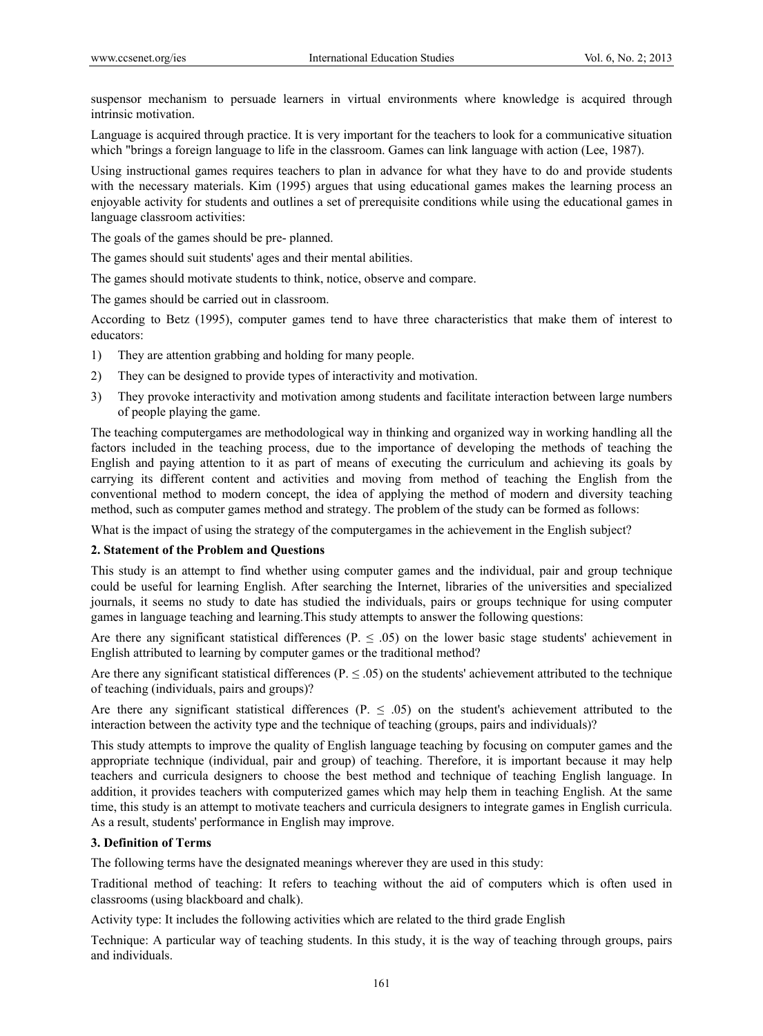suspensor mechanism to persuade learners in virtual environments where knowledge is acquired through intrinsic motivation.

Language is acquired through practice. It is very important for the teachers to look for a communicative situation which "brings a foreign language to life in the classroom. Games can link language with action (Lee, 1987).

Using instructional games requires teachers to plan in advance for what they have to do and provide students with the necessary materials. Kim (1995) argues that using educational games makes the learning process an enjoyable activity for students and outlines a set of prerequisite conditions while using the educational games in language classroom activities:

The goals of the games should be pre- planned.

The games should suit students' ages and their mental abilities.

The games should motivate students to think, notice, observe and compare.

The games should be carried out in classroom.

According to Betz (1995), computer games tend to have three characteristics that make them of interest to educators:

- 1) They are attention grabbing and holding for many people.
- 2) They can be designed to provide types of interactivity and motivation.
- 3) They provoke interactivity and motivation among students and facilitate interaction between large numbers of people playing the game.

The teaching computergames are methodological way in thinking and organized way in working handling all the factors included in the teaching process, due to the importance of developing the methods of teaching the English and paying attention to it as part of means of executing the curriculum and achieving its goals by carrying its different content and activities and moving from method of teaching the English from the conventional method to modern concept, the idea of applying the method of modern and diversity teaching method, such as computer games method and strategy. The problem of the study can be formed as follows:

What is the impact of using the strategy of the computergames in the achievement in the English subject?

#### **2. Statement of the Problem and Questions**

This study is an attempt to find whether using computer games and the individual, pair and group technique could be useful for learning English. After searching the Internet, libraries of the universities and specialized journals, it seems no study to date has studied the individuals, pairs or groups technique for using computer games in language teaching and learning.This study attempts to answer the following questions:

Are there any significant statistical differences ( $P \leq .05$ ) on the lower basic stage students' achievement in English attributed to learning by computer games or the traditional method?

Are there any significant statistical differences ( $P \le 0.05$ ) on the students' achievement attributed to the technique of teaching (individuals, pairs and groups)?

Are there any significant statistical differences (P.  $\leq$  .05) on the student's achievement attributed to the interaction between the activity type and the technique of teaching (groups, pairs and individuals)?

This study attempts to improve the quality of English language teaching by focusing on computer games and the appropriate technique (individual, pair and group) of teaching. Therefore, it is important because it may help teachers and curricula designers to choose the best method and technique of teaching English language. In addition, it provides teachers with computerized games which may help them in teaching English. At the same time, this study is an attempt to motivate teachers and curricula designers to integrate games in English curricula. As a result, students' performance in English may improve.

#### **3. Definition of Terms**

The following terms have the designated meanings wherever they are used in this study:

Traditional method of teaching: It refers to teaching without the aid of computers which is often used in classrooms (using blackboard and chalk).

Activity type: It includes the following activities which are related to the third grade English

Technique: A particular way of teaching students. In this study, it is the way of teaching through groups, pairs and individuals.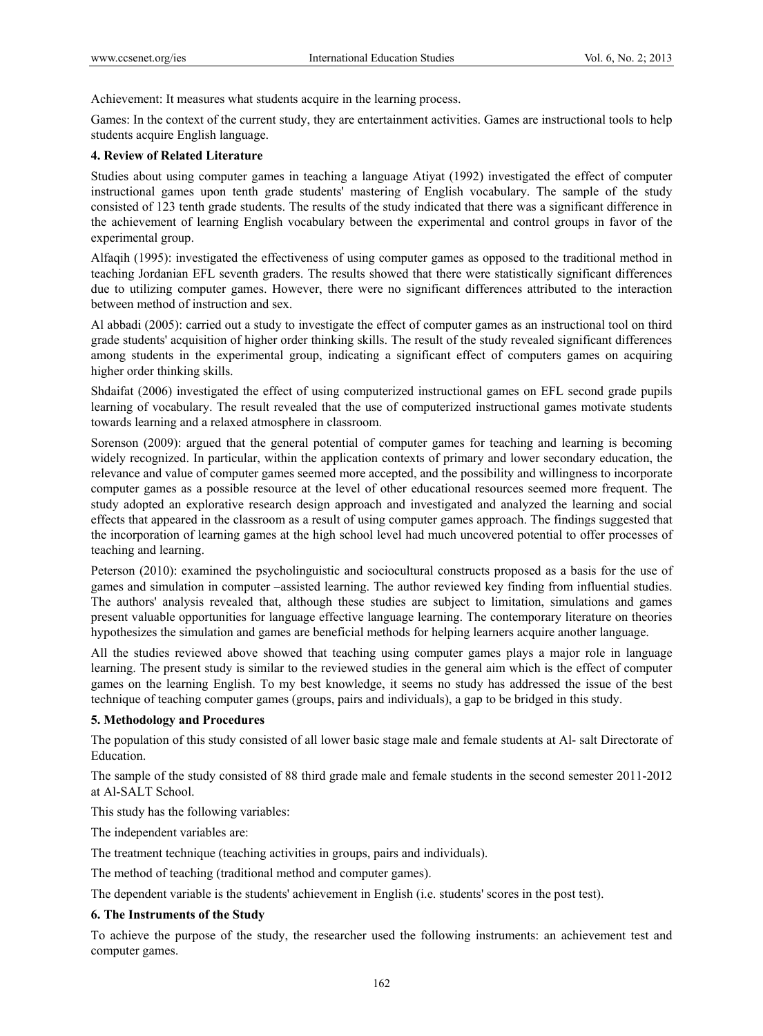Achievement: It measures what students acquire in the learning process.

Games: In the context of the current study, they are entertainment activities. Games are instructional tools to help students acquire English language.

#### **4. Review of Related Literature**

Studies about using computer games in teaching a language Atiyat (1992) investigated the effect of computer instructional games upon tenth grade students' mastering of English vocabulary. The sample of the study consisted of 123 tenth grade students. The results of the study indicated that there was a significant difference in the achievement of learning English vocabulary between the experimental and control groups in favor of the experimental group.

Alfaqih (1995): investigated the effectiveness of using computer games as opposed to the traditional method in teaching Jordanian EFL seventh graders. The results showed that there were statistically significant differences due to utilizing computer games. However, there were no significant differences attributed to the interaction between method of instruction and sex.

Al abbadi (2005): carried out a study to investigate the effect of computer games as an instructional tool on third grade students' acquisition of higher order thinking skills. The result of the study revealed significant differences among students in the experimental group, indicating a significant effect of computers games on acquiring higher order thinking skills.

Shdaifat (2006) investigated the effect of using computerized instructional games on EFL second grade pupils learning of vocabulary. The result revealed that the use of computerized instructional games motivate students towards learning and a relaxed atmosphere in classroom.

Sorenson (2009): argued that the general potential of computer games for teaching and learning is becoming widely recognized. In particular, within the application contexts of primary and lower secondary education, the relevance and value of computer games seemed more accepted, and the possibility and willingness to incorporate computer games as a possible resource at the level of other educational resources seemed more frequent. The study adopted an explorative research design approach and investigated and analyzed the learning and social effects that appeared in the classroom as a result of using computer games approach. The findings suggested that the incorporation of learning games at the high school level had much uncovered potential to offer processes of teaching and learning.

Peterson (2010): examined the psycholinguistic and sociocultural constructs proposed as a basis for the use of games and simulation in computer –assisted learning. The author reviewed key finding from influential studies. The authors' analysis revealed that, although these studies are subject to limitation, simulations and games present valuable opportunities for language effective language learning. The contemporary literature on theories hypothesizes the simulation and games are beneficial methods for helping learners acquire another language.

All the studies reviewed above showed that teaching using computer games plays a major role in language learning. The present study is similar to the reviewed studies in the general aim which is the effect of computer games on the learning English. To my best knowledge, it seems no study has addressed the issue of the best technique of teaching computer games (groups, pairs and individuals), a gap to be bridged in this study.

#### **5. Methodology and Procedures**

The population of this study consisted of all lower basic stage male and female students at Al- salt Directorate of Education.

The sample of the study consisted of 88 third grade male and female students in the second semester 2011-2012 at Al-SALT School.

This study has the following variables:

The independent variables are:

The treatment technique (teaching activities in groups, pairs and individuals).

The method of teaching (traditional method and computer games).

The dependent variable is the students' achievement in English (i.e. students' scores in the post test).

#### **6. The Instruments of the Study**

To achieve the purpose of the study, the researcher used the following instruments: an achievement test and computer games.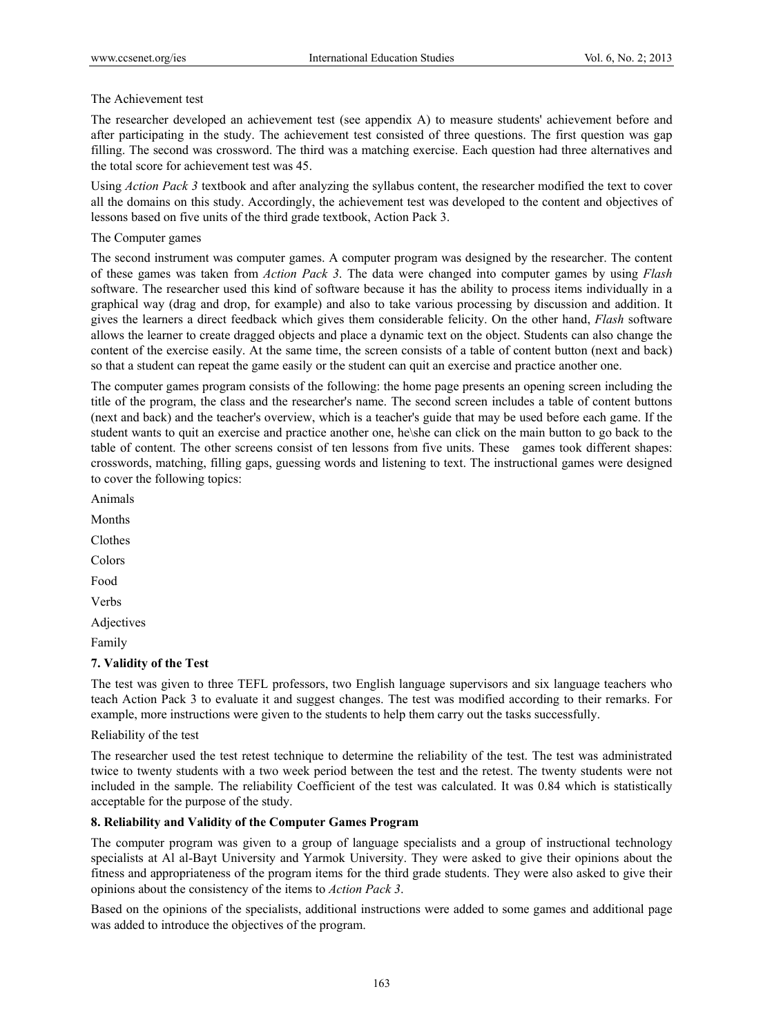#### The Achievement test

The researcher developed an achievement test (see appendix A) to measure students' achievement before and after participating in the study. The achievement test consisted of three questions. The first question was gap filling. The second was crossword. The third was a matching exercise. Each question had three alternatives and the total score for achievement test was 45.

Using *Action Pack 3* textbook and after analyzing the syllabus content, the researcher modified the text to cover all the domains on this study. Accordingly, the achievement test was developed to the content and objectives of lessons based on five units of the third grade textbook, Action Pack 3.

## The Computer games

The second instrument was computer games. A computer program was designed by the researcher. The content of these games was taken from *Action Pack 3*. The data were changed into computer games by using *Flash* software. The researcher used this kind of software because it has the ability to process items individually in a graphical way (drag and drop, for example) and also to take various processing by discussion and addition. It gives the learners a direct feedback which gives them considerable felicity. On the other hand, *Flash* software allows the learner to create dragged objects and place a dynamic text on the object. Students can also change the content of the exercise easily. At the same time, the screen consists of a table of content button (next and back) so that a student can repeat the game easily or the student can quit an exercise and practice another one.

The computer games program consists of the following: the home page presents an opening screen including the title of the program, the class and the researcher's name. The second screen includes a table of content buttons (next and back) and the teacher's overview, which is a teacher's guide that may be used before each game. If the student wants to quit an exercise and practice another one, he\she can click on the main button to go back to the table of content. The other screens consist of ten lessons from five units. These games took different shapes: crosswords, matching, filling gaps, guessing words and listening to text. The instructional games were designed to cover the following topics:

Animals Months Clothes Colors Food Verbs Adjectives Family

**7. Validity of the Test** 

The test was given to three TEFL professors, two English language supervisors and six language teachers who teach Action Pack 3 to evaluate it and suggest changes. The test was modified according to their remarks. For example, more instructions were given to the students to help them carry out the tasks successfully.

## Reliability of the test

The researcher used the test retest technique to determine the reliability of the test. The test was administrated twice to twenty students with a two week period between the test and the retest. The twenty students were not included in the sample. The reliability Coefficient of the test was calculated. It was 0.84 which is statistically acceptable for the purpose of the study.

## **8. Reliability and Validity of the Computer Games Program**

The computer program was given to a group of language specialists and a group of instructional technology specialists at Al al-Bayt University and Yarmok University. They were asked to give their opinions about the fitness and appropriateness of the program items for the third grade students. They were also asked to give their opinions about the consistency of the items to *Action Pack 3*.

Based on the opinions of the specialists, additional instructions were added to some games and additional page was added to introduce the objectives of the program.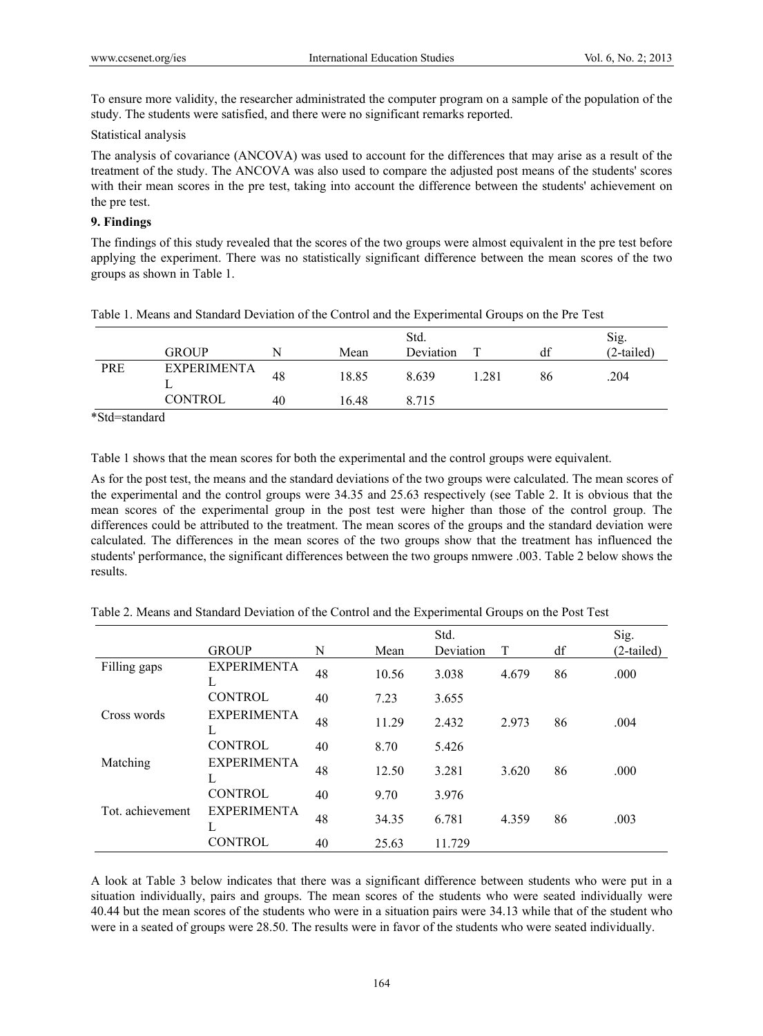To ensure more validity, the researcher administrated the computer program on a sample of the population of the study. The students were satisfied, and there were no significant remarks reported.

Statistical analysis

The analysis of covariance (ANCOVA) was used to account for the differences that may arise as a result of the treatment of the study. The ANCOVA was also used to compare the adjusted post means of the students' scores with their mean scores in the pre test, taking into account the difference between the students' achievement on the pre test.

#### **9. Findings**

The findings of this study revealed that the scores of the two groups were almost equivalent in the pre test before applying the experiment. There was no statistically significant difference between the mean scores of the two groups as shown in Table 1.

|            |                    |    |       | Std.      |      |    | Sig.       |
|------------|--------------------|----|-------|-----------|------|----|------------|
|            | GROUP              | N  | Mean  | Deviation |      | df | (2-tailed) |
| <b>PRE</b> | <b>EXPERIMENTA</b> | 48 | 18.85 | 8.639     | .281 | 86 | .204       |
|            | <b>CONTROL</b>     | 40 | 16.48 | 8.715     |      |    |            |

| Table 1. Means and Standard Deviation of the Control and the Experimental Groups on the Pre Test |
|--------------------------------------------------------------------------------------------------|
|--------------------------------------------------------------------------------------------------|

\*Std=standard

Table 1 shows that the mean scores for both the experimental and the control groups were equivalent.

As for the post test, the means and the standard deviations of the two groups were calculated. The mean scores of the experimental and the control groups were 34.35 and 25.63 respectively (see Table 2. It is obvious that the mean scores of the experimental group in the post test were higher than those of the control group. The differences could be attributed to the treatment. The mean scores of the groups and the standard deviation were calculated. The differences in the mean scores of the two groups show that the treatment has influenced the students' performance, the significant differences between the two groups nmwere .003. Table 2 below shows the results.

|  |  | Table 2. Means and Standard Deviation of the Control and the Experimental Groups on the Post Test |  |  |  |  |
|--|--|---------------------------------------------------------------------------------------------------|--|--|--|--|
|--|--|---------------------------------------------------------------------------------------------------|--|--|--|--|

|                  |                         |    |       | Std.      |       |    | Sig.       |
|------------------|-------------------------|----|-------|-----------|-------|----|------------|
|                  | <b>GROUP</b>            | N  | Mean  | Deviation | T     | df | (2-tailed) |
| Filling gaps     | <b>EXPERIMENTA</b><br>L | 48 | 10.56 | 3.038     | 4.679 | 86 | .000       |
|                  | <b>CONTROL</b>          | 40 | 7.23  | 3.655     |       |    |            |
| Cross words      | <b>EXPERIMENTA</b><br>L | 48 | 11.29 | 2.432     | 2.973 | 86 | .004       |
|                  | <b>CONTROL</b>          | 40 | 8.70  | 5.426     |       |    |            |
| Matching         | <b>EXPERIMENTA</b><br>L | 48 | 12.50 | 3.281     | 3.620 | 86 | .000       |
|                  | <b>CONTROL</b>          | 40 | 9.70  | 3.976     |       |    |            |
| Tot. achievement | <b>EXPERIMENTA</b><br>L | 48 | 34.35 | 6.781     | 4.359 | 86 | .003       |
|                  | <b>CONTROL</b>          | 40 | 25.63 | 11.729    |       |    |            |

A look at Table 3 below indicates that there was a significant difference between students who were put in a situation individually, pairs and groups. The mean scores of the students who were seated individually were 40.44 but the mean scores of the students who were in a situation pairs were 34.13 while that of the student who were in a seated of groups were 28.50. The results were in favor of the students who were seated individually.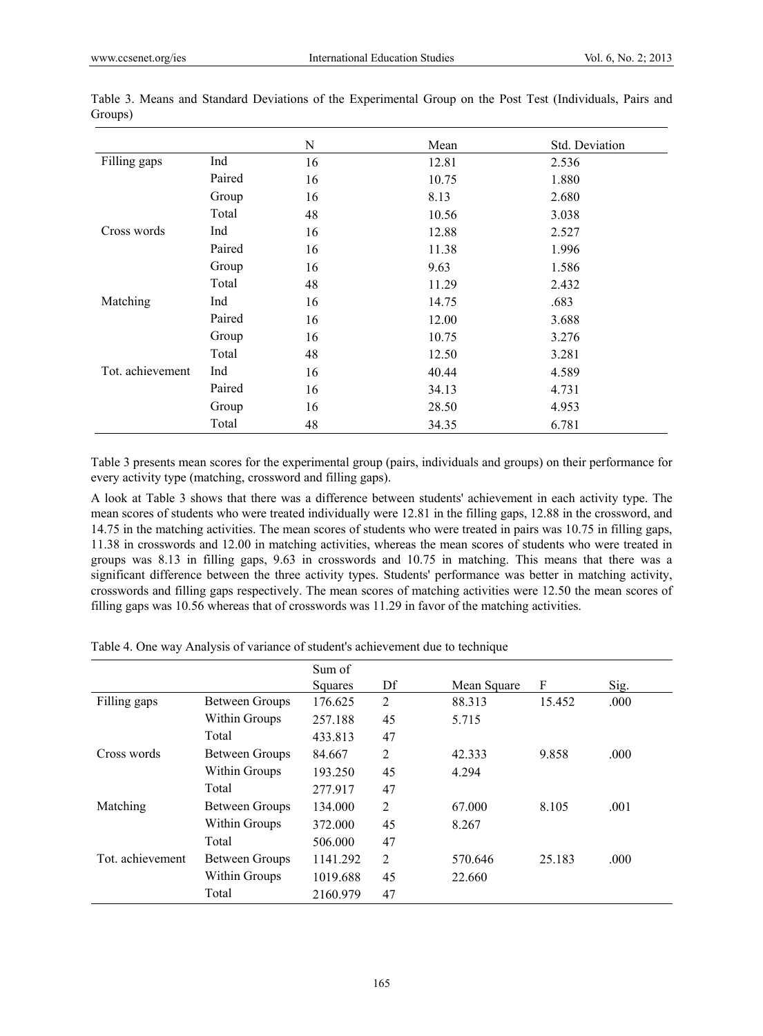|                  |        | N  | Mean  | Std. Deviation |
|------------------|--------|----|-------|----------------|
| Filling gaps     | Ind    | 16 | 12.81 | 2.536          |
|                  | Paired | 16 | 10.75 | 1.880          |
|                  | Group  | 16 | 8.13  | 2.680          |
|                  | Total  | 48 | 10.56 | 3.038          |
| Cross words      | Ind    | 16 | 12.88 | 2.527          |
|                  | Paired | 16 | 11.38 | 1.996          |
|                  | Group  | 16 | 9.63  | 1.586          |
|                  | Total  | 48 | 11.29 | 2.432          |
| Matching         | Ind    | 16 | 14.75 | .683           |
|                  | Paired | 16 | 12.00 | 3.688          |
|                  | Group  | 16 | 10.75 | 3.276          |
|                  | Total  | 48 | 12.50 | 3.281          |
| Tot. achievement | Ind    | 16 | 40.44 | 4.589          |
|                  | Paired | 16 | 34.13 | 4.731          |
|                  | Group  | 16 | 28.50 | 4.953          |
|                  | Total  | 48 | 34.35 | 6.781          |

Table 3. Means and Standard Deviations of the Experimental Group on the Post Test (Individuals, Pairs and Groups)

Table 3 presents mean scores for the experimental group (pairs, individuals and groups) on their performance for every activity type (matching, crossword and filling gaps).

A look at Table 3 shows that there was a difference between students' achievement in each activity type. The mean scores of students who were treated individually were 12.81 in the filling gaps, 12.88 in the crossword, and 14.75 in the matching activities. The mean scores of students who were treated in pairs was 10.75 in filling gaps, 11.38 in crosswords and 12.00 in matching activities, whereas the mean scores of students who were treated in groups was 8.13 in filling gaps, 9.63 in crosswords and 10.75 in matching. This means that there was a significant difference between the three activity types. Students' performance was better in matching activity, crosswords and filling gaps respectively. The mean scores of matching activities were 12.50 the mean scores of filling gaps was 10.56 whereas that of crosswords was 11.29 in favor of the matching activities.

|  | Table 4. One way Analysis of variance of student's achievement due to technique |  |
|--|---------------------------------------------------------------------------------|--|
|  |                                                                                 |  |

|                  |                | Sum of<br>Squares | Df             | Mean Square | F      | Sig. |
|------------------|----------------|-------------------|----------------|-------------|--------|------|
| Filling gaps     | Between Groups | 176.625           | 2              | 88.313      | 15.452 | .000 |
|                  | Within Groups  | 257.188           | 45             | 5.715       |        |      |
|                  | Total          | 433.813           | 47             |             |        |      |
| Cross words      | Between Groups | 84.667            | $\overline{2}$ | 42.333      | 9.858  | .000 |
|                  | Within Groups  | 193.250           | 45             | 4.294       |        |      |
|                  | Total          | 277.917           | 47             |             |        |      |
| Matching         | Between Groups | 134.000           | 2              | 67.000      | 8.105  | .001 |
|                  | Within Groups  | 372,000           | 45             | 8.267       |        |      |
|                  | Total          | 506.000           | 47             |             |        |      |
| Tot. achievement | Between Groups | 1141.292          | 2              | 570.646     | 25.183 | .000 |
|                  | Within Groups  | 1019.688          | 45             | 22.660      |        |      |
|                  | Total          | 2160.979          | 47             |             |        |      |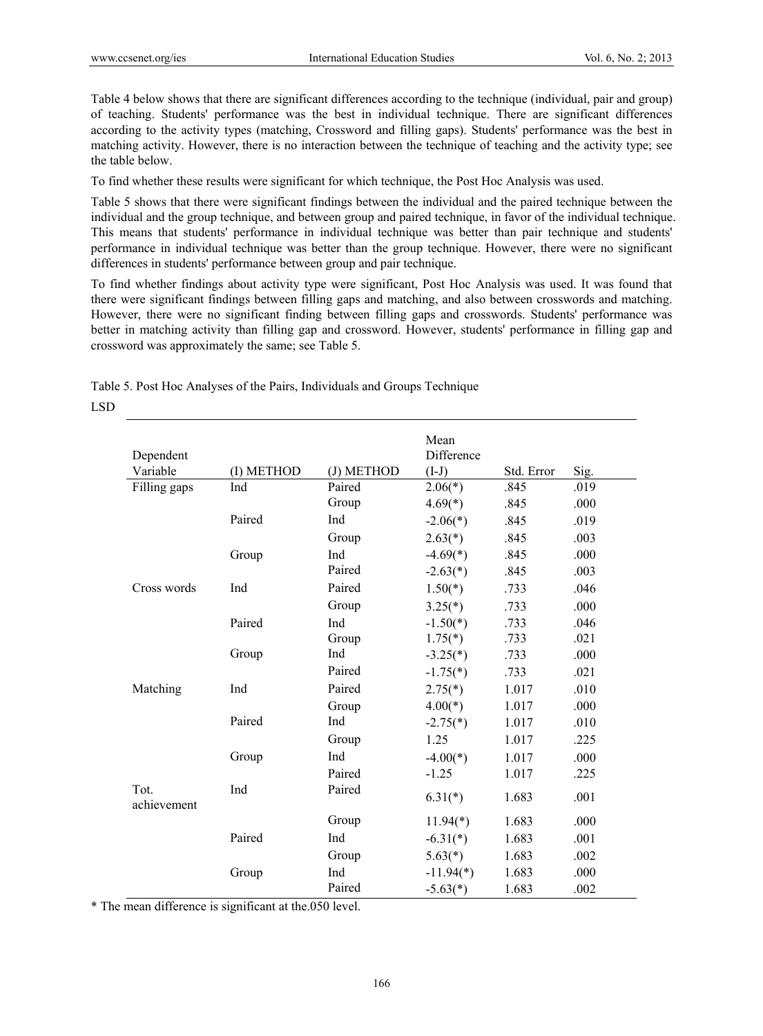Table 4 below shows that there are significant differences according to the technique (individual, pair and group) of teaching. Students' performance was the best in individual technique. There are significant differences according to the activity types (matching, Crossword and filling gaps). Students' performance was the best in matching activity. However, there is no interaction between the technique of teaching and the activity type; see the table below.

To find whether these results were significant for which technique, the Post Hoc Analysis was used.

Table 5 shows that there were significant findings between the individual and the paired technique between the individual and the group technique, and between group and paired technique, in favor of the individual technique. This means that students' performance in individual technique was better than pair technique and students' performance in individual technique was better than the group technique. However, there were no significant differences in students' performance between group and pair technique.

To find whether findings about activity type were significant, Post Hoc Analysis was used. It was found that there were significant findings between filling gaps and matching, and also between crosswords and matching. However, there were no significant finding between filling gaps and crosswords. Students' performance was better in matching activity than filling gap and crossword. However, students' performance in filling gap and crossword was approximately the same; see Table 5.

Table 5. Post Hoc Analyses of the Pairs, Individuals and Groups Technique

LSD

| Dependent           |            |            | Mean<br>Difference |            |      |
|---------------------|------------|------------|--------------------|------------|------|
| Variable            | (I) METHOD | (J) METHOD | $(I-J)$            | Std. Error | Sig. |
| Filling gaps        | Ind        | Paired     | $2.06(*)$          | .845       | .019 |
|                     |            | Group      | $4.69(*)$          | .845       | .000 |
|                     | Paired     | Ind        | $-2.06(*)$         | .845       | .019 |
|                     |            | Group      | $2.63(*)$          | .845       | .003 |
|                     | Group      | Ind        | $-4.69(*)$         | .845       | .000 |
|                     |            | Paired     | $-2.63(*)$         | .845       | .003 |
| Cross words         | Ind        | Paired     | $1.50(*)$          | .733       | .046 |
|                     |            | Group      | $3.25(*)$          | .733       | .000 |
|                     | Paired     | Ind        | $-1.50(*)$         | .733       | .046 |
|                     |            | Group      | $1.75(*)$          | .733       | .021 |
|                     | Group      | Ind        | $-3.25(*)$         | .733       | .000 |
|                     |            | Paired     | $-1.75(*)$         | .733       | .021 |
| Matching            | Ind        | Paired     | $2.75(*)$          | 1.017      | .010 |
|                     |            | Group      | $4.00(*)$          | 1.017      | .000 |
|                     | Paired     | Ind        | $-2.75(*)$         | 1.017      | .010 |
|                     |            | Group      | 1.25               | 1.017      | .225 |
|                     | Group      | Ind        | $-4.00(*)$         | 1.017      | .000 |
|                     |            | Paired     | $-1.25$            | 1.017      | .225 |
| Tot.<br>achievement | Ind        | Paired     | $6.31(*)$          | 1.683      | .001 |
|                     |            | Group      | $11.94(*)$         | 1.683      | .000 |
|                     | Paired     | Ind        | $-6.31(*)$         | 1.683      | .001 |
|                     |            | Group      | $5.63(*)$          | 1.683      | .002 |
|                     | Group      | Ind        | $-11.94(*)$        | 1.683      | .000 |
|                     |            | Paired     | $-5.63(*)$         | 1.683      | .002 |

\* The mean difference is significant at the.050 level.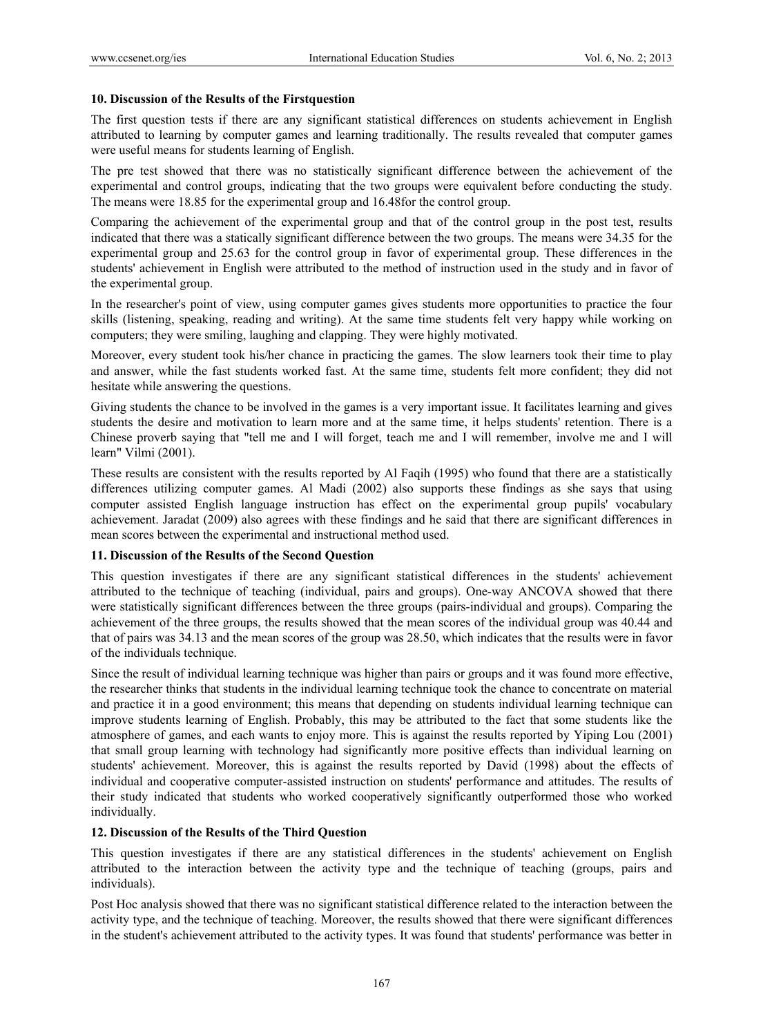#### **10. Discussion of the Results of the Firstquestion**

The first question tests if there are any significant statistical differences on students achievement in English attributed to learning by computer games and learning traditionally. The results revealed that computer games were useful means for students learning of English.

The pre test showed that there was no statistically significant difference between the achievement of the experimental and control groups, indicating that the two groups were equivalent before conducting the study. The means were 18.85 for the experimental group and 16.48for the control group.

Comparing the achievement of the experimental group and that of the control group in the post test, results indicated that there was a statically significant difference between the two groups. The means were 34.35 for the experimental group and 25.63 for the control group in favor of experimental group. These differences in the students' achievement in English were attributed to the method of instruction used in the study and in favor of the experimental group.

In the researcher's point of view, using computer games gives students more opportunities to practice the four skills (listening, speaking, reading and writing). At the same time students felt very happy while working on computers; they were smiling, laughing and clapping. They were highly motivated.

Moreover, every student took his/her chance in practicing the games. The slow learners took their time to play and answer, while the fast students worked fast. At the same time, students felt more confident; they did not hesitate while answering the questions.

Giving students the chance to be involved in the games is a very important issue. It facilitates learning and gives students the desire and motivation to learn more and at the same time, it helps students' retention. There is a Chinese proverb saying that "tell me and I will forget, teach me and I will remember, involve me and I will learn" Vilmi (2001).

These results are consistent with the results reported by Al Faqih (1995) who found that there are a statistically differences utilizing computer games. Al Madi (2002) also supports these findings as she says that using computer assisted English language instruction has effect on the experimental group pupils' vocabulary achievement. Jaradat (2009) also agrees with these findings and he said that there are significant differences in mean scores between the experimental and instructional method used.

#### **11. Discussion of the Results of the Second Question**

This question investigates if there are any significant statistical differences in the students' achievement attributed to the technique of teaching (individual, pairs and groups). One-way ANCOVA showed that there were statistically significant differences between the three groups (pairs-individual and groups). Comparing the achievement of the three groups, the results showed that the mean scores of the individual group was 40.44 and that of pairs was 34.13 and the mean scores of the group was 28.50, which indicates that the results were in favor of the individuals technique.

Since the result of individual learning technique was higher than pairs or groups and it was found more effective, the researcher thinks that students in the individual learning technique took the chance to concentrate on material and practice it in a good environment; this means that depending on students individual learning technique can improve students learning of English. Probably, this may be attributed to the fact that some students like the atmosphere of games, and each wants to enjoy more. This is against the results reported by Yiping Lou (2001) that small group learning with technology had significantly more positive effects than individual learning on students' achievement. Moreover, this is against the results reported by David (1998) about the effects of individual and cooperative computer-assisted instruction on students' performance and attitudes. The results of their study indicated that students who worked cooperatively significantly outperformed those who worked individually.

## **12. Discussion of the Results of the Third Question**

This question investigates if there are any statistical differences in the students' achievement on English attributed to the interaction between the activity type and the technique of teaching (groups, pairs and individuals).

Post Hoc analysis showed that there was no significant statistical difference related to the interaction between the activity type, and the technique of teaching. Moreover, the results showed that there were significant differences in the student's achievement attributed to the activity types. It was found that students' performance was better in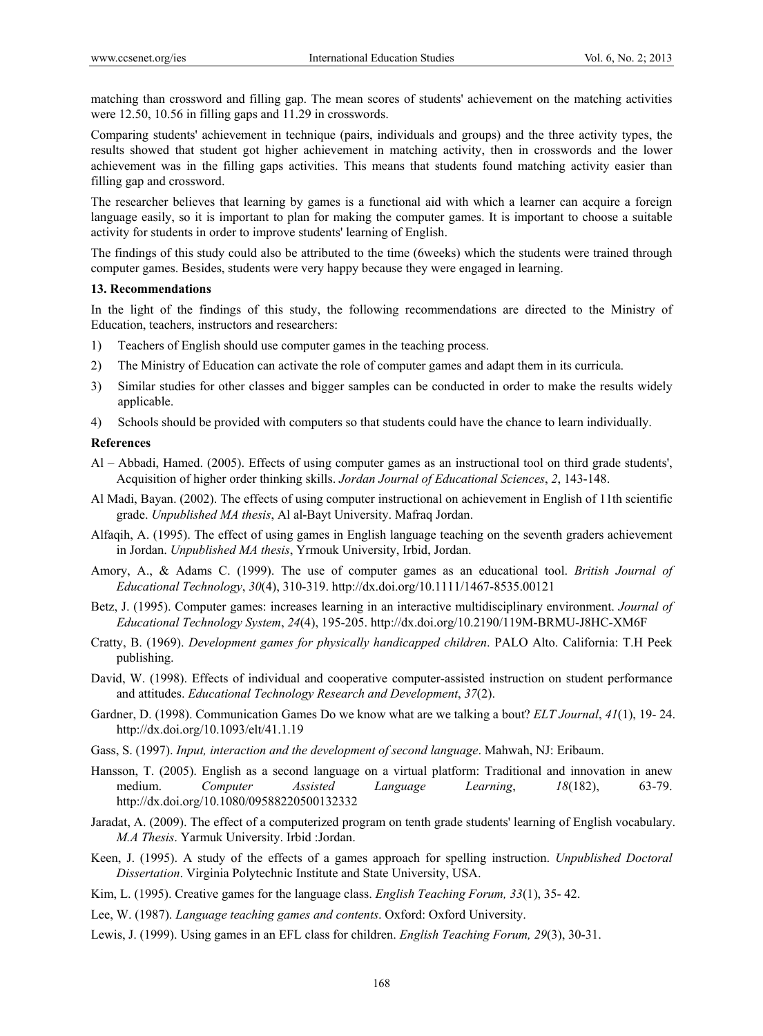matching than crossword and filling gap. The mean scores of students' achievement on the matching activities were 12.50, 10.56 in filling gaps and 11.29 in crosswords.

Comparing students' achievement in technique (pairs, individuals and groups) and the three activity types, the results showed that student got higher achievement in matching activity, then in crosswords and the lower achievement was in the filling gaps activities. This means that students found matching activity easier than filling gap and crossword.

The researcher believes that learning by games is a functional aid with which a learner can acquire a foreign language easily, so it is important to plan for making the computer games. It is important to choose a suitable activity for students in order to improve students' learning of English.

The findings of this study could also be attributed to the time (6weeks) which the students were trained through computer games. Besides, students were very happy because they were engaged in learning.

#### **13. Recommendations**

In the light of the findings of this study, the following recommendations are directed to the Ministry of Education, teachers, instructors and researchers:

- 1) Teachers of English should use computer games in the teaching process.
- 2) The Ministry of Education can activate the role of computer games and adapt them in its curricula.
- 3) Similar studies for other classes and bigger samples can be conducted in order to make the results widely applicable.
- 4) Schools should be provided with computers so that students could have the chance to learn individually.

#### **References**

- Al Abbadi, Hamed. (2005). Effects of using computer games as an instructional tool on third grade students', Acquisition of higher order thinking skills. *Jordan Journal of Educational Sciences*, *2*, 143-148.
- Al Madi, Bayan. (2002). The effects of using computer instructional on achievement in English of 11th scientific grade. *Unpublished MA thesis*, Al al-Bayt University. Mafraq Jordan.
- Alfaqih, A. (1995). The effect of using games in English language teaching on the seventh graders achievement in Jordan. *Unpublished MA thesis*, Yrmouk University, Irbid, Jordan.
- Amory, A., & Adams C. (1999). The use of computer games as an educational tool. *British Journal of Educational Technology*, *30*(4), 310-319. http://dx.doi.org/10.1111/1467-8535.00121
- Betz, J. (1995). Computer games: increases learning in an interactive multidisciplinary environment. *Journal of Educational Technology System*, *24*(4), 195-205. http://dx.doi.org/10.2190/119M-BRMU-J8HC-XM6F
- Cratty, B. (1969). *Development games for physically handicapped children*. PALO Alto. California: T.H Peek publishing.
- David, W. (1998). Effects of individual and cooperative computer-assisted instruction on student performance and attitudes. *Educational Technology Research and Development*, *37*(2).
- Gardner, D. (1998). Communication Games Do we know what are we talking a bout? *ELT Journal*, *41*(1), 19- 24. http://dx.doi.org/10.1093/elt/41.1.19
- Gass, S. (1997). *Input, interaction and the development of second language*. Mahwah, NJ: Eribaum.
- Hansson, T. (2005). English as a second language on a virtual platform: Traditional and innovation in anew medium. *Computer Assisted Language Learning*, *18*(182), 63-79. http://dx.doi.org/10.1080/09588220500132332
- Jaradat, A. (2009). The effect of a computerized program on tenth grade students' learning of English vocabulary. *M.A Thesis*. Yarmuk University. Irbid :Jordan.
- Keen, J. (1995). A study of the effects of a games approach for spelling instruction. *Unpublished Doctoral Dissertation*. Virginia Polytechnic Institute and State University, USA.
- Kim, L. (1995). Creative games for the language class. *English Teaching Forum, 33*(1), 35- 42.
- Lee, W. (1987). *Language teaching games and contents*. Oxford: Oxford University.
- Lewis, J. (1999). Using games in an EFL class for children. *English Teaching Forum, 29*(3), 30-31.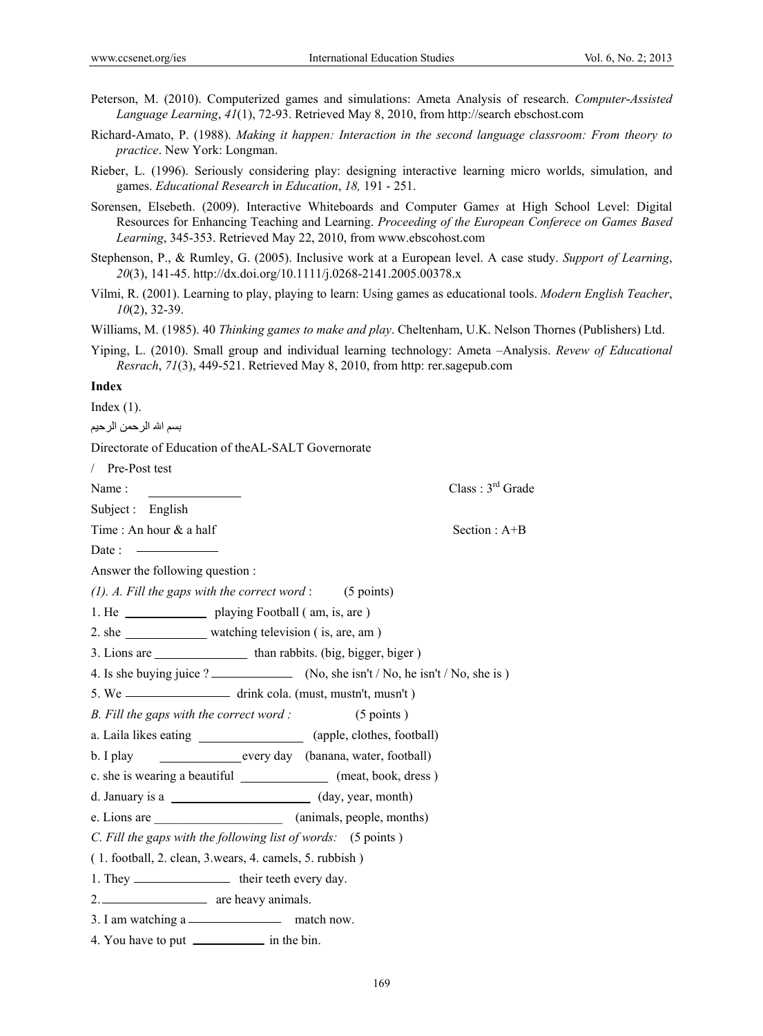Peterson, M. (2010). Computerized games and simulations: Ameta Analysis of research. *Computer*-*Assisted Language Learning*, *41*(1), 72-93. Retrieved May 8, 2010, from http://search ebschost.com

Richard-Amato, P. (1988). *Making it happen: Interaction in the second language classroom: From theory to practice*. New York: Longman.

Rieber, L. (1996). Seriously considering play: designing interactive learning micro worlds, simulation, and games. *Educational Research* i*n Education*, *18,* 191 - 251.

Sorensen, Elsebeth. (2009). Interactive Whiteboards and Computer Game*s* at High School Level: Digital Resources for Enhancing Teaching and Learning. *Proceeding of the European Conferece on Games Based Learning*, 345-353. Retrieved May 22, 2010, from www.ebscohost.com

Stephenson, P., & Rumley, G. (2005). Inclusive work at a European level. A case study. *Support of Learning*, *20*(3), 141-45. http://dx.doi.org/10.1111/j.0268-2141.2005.00378.x

- Vilmi, R. (2001). Learning to play, playing to learn: Using games as educational tools. *Modern English Teacher*, *10*(2), 32-39.
- Williams, M. (1985). 40 *Thinking games to make and play*. Cheltenham, U.K. Nelson Thornes (Publishers) Ltd.
- Yiping, L. (2010). Small group and individual learning technology: Ameta –Analysis. *Revew of Educational Resrach*, *71*(3), 449-521. Retrieved May 8, 2010, from http: rer.sagepub.com

## **Index**

Index  $(1)$ . بسم االله الرحمن الرحيم

Directorate of Education of theAL-SALT Governorate

/ Pre-Post test

Name : Class : 3<sup>rd</sup> Grade

Subject : English

Time : An hour & a half Section : A+B

Date :  $\frac{1}{2}$ 

Answer the following question :

*(1). A. Fill the gaps with the correct word* : (5 points)

1. He \_\_\_\_\_\_\_\_\_\_\_\_\_\_\_\_ playing Football (am, is, are )

2. she watching television ( is, are, am )

- 3. Lions are \_\_\_\_\_\_\_\_\_\_\_\_\_\_\_ than rabbits. (big, bigger, biger )
- 4. Is she buying juice ? (No, she isn't / No, he isn't / No, she is )
- $5. We$  drink cola. (must, mustn't, musn't)

*B. Fill the gaps with the correct word :* (5 points )

- a. Laila likes eating \_\_\_\_\_\_\_\_\_\_\_\_\_\_\_\_ (apple, clothes, football)
- b. I play every day (banana, water, football)
- c. she is wearing a beautiful \_\_\_\_\_\_\_\_\_\_\_\_\_\_\_ (meat, book, dress)
- d. January is a (day, year, month)
- e. Lions are \_\_\_\_\_\_\_\_\_\_\_\_\_\_\_\_\_\_\_\_ (animals, people, months)

*C. Fill the gaps with the following list of words:* (5 points )

( 1. football, 2. clean, 3.wears, 4. camels, 5. rubbish )

1. They their teeth every day.

2. are heavy animals.

3. I am watching a match now.

4. You have to put \_\_\_\_\_\_\_\_\_\_\_\_\_ in the bin.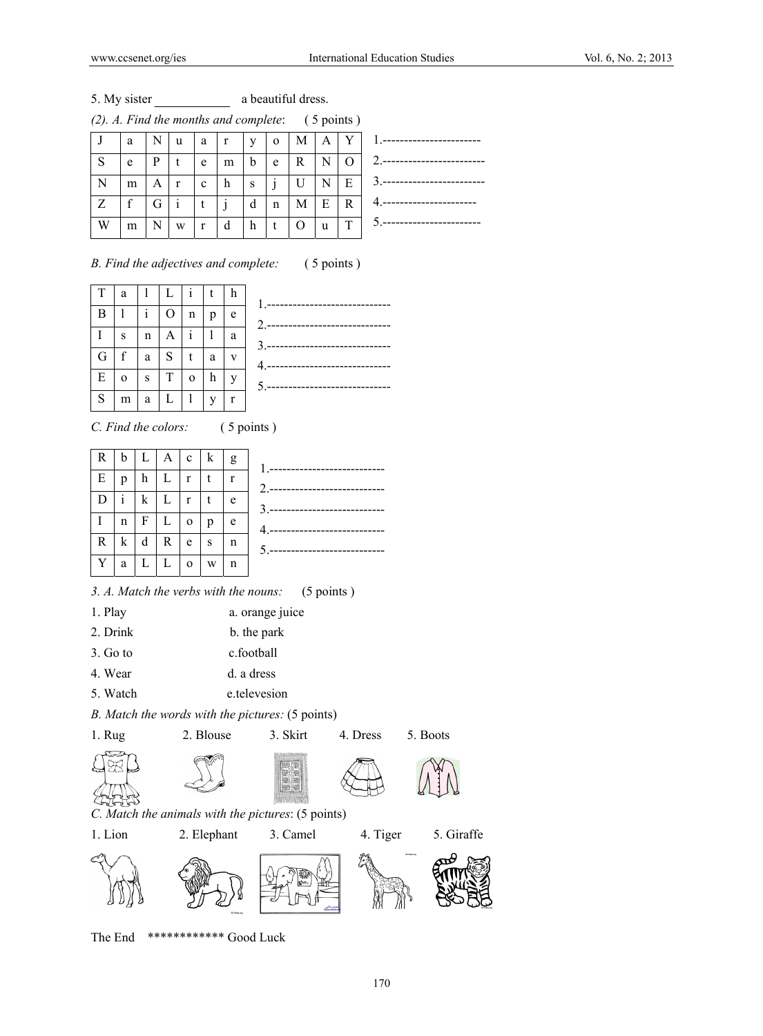| 5. My sister | a beautiful dress. |
|--------------|--------------------|
|--------------|--------------------|

| $(2)$ . A. Find the months and complete: $(5 \text{ points})$ |   |   |              |             |          |   |          |   |   |   |    |
|---------------------------------------------------------------|---|---|--------------|-------------|----------|---|----------|---|---|---|----|
|                                                               | a | N | u            | a           | <b>r</b> | y | $\Omega$ | М | A |   |    |
|                                                               | e | P |              | e           | m        | b | e        | R |   |   | 2  |
| N                                                             | m | А | $\mathbf{r}$ | $\mathbf c$ | h        | S |          |   |   | E | 3. |
| Z                                                             |   | G |              |             |          | d | n        | М | Е | R |    |
| W                                                             | m | N | W            | r           | d        | h |          | O | u | T |    |

## *B. Find the adjectives and complete:* ( 5 points )

| T                | a           |             | L              | $\mathbf{i}$ | t | h           |
|------------------|-------------|-------------|----------------|--------------|---|-------------|
| $\boldsymbol{B}$ |             |             | $\overline{O}$ | $\mathbf n$  | p | e           |
| I                | S           | n           | A              | $\mathbf{i}$ |   | a           |
| G                | $\mathbf f$ | a           | S              | t            | a | $\mathbf V$ |
| E                | $\mathbf 0$ | $\mathbf S$ | T              | $\mathbf 0$  | h | y           |
| S                | m           | a           | L              |              | у | r           |

|  | $\sigma$ points |  |
|--|-----------------|--|
|  |                 |  |

| 2 ------------------------------ |
|----------------------------------|
| 3 ------------------------------ |
| 4. ----------------------------- |
| 5 ------------------------------ |

*C. Find the colors:* ( 5 points )

|  | R   b   L   A   c   k   g |  |                                                                                                          |                           |
|--|---------------------------|--|----------------------------------------------------------------------------------------------------------|---------------------------|
|  | E  p  h  L  r  t  r       |  |                                                                                                          | 2.----------------------- |
|  |                           |  | $\overline{D}$ $\overline{i}$ $\overline{k}$ $\overline{L}$ $\overline{r}$ $\overline{t}$ $\overline{e}$ |                           |
|  |                           |  | $\overline{I \mid n \mid F \mid L \mid o \mid p \mid e}$                                                 | $4. - - - -$              |
|  | R   k   d   R   e   s   n |  |                                                                                                          | $5.$ --------             |
|  | Y   a   L   L   o   w   n |  |                                                                                                          |                           |

*3. A. Match the verbs with the nouns:* (5 points )

1. Play a. orange juice

2. Drink b. the park

3. Go to c.football

4. Wear d. a dress

5. Watch e.televesion

*B. Match the words with the pictures:* (5 points)











*C. Match the animals with the pictures*: (5 points)